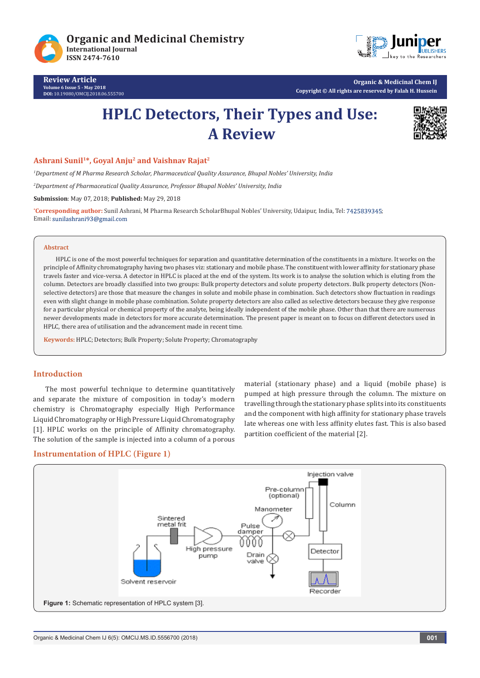

**Review Article Volume 6 Issue 5 - May 2018 DOI:** [10.19080/OMCIJ.2018.06.555700](http://dx.doi.org/10.19080/OMCIJ.2018.06.555700)



**Organic & Medicinal Chem IJ Copyright © All rights are reserved by Falah H. Hussein**

# **HPLC Detectors, Their Types and Use: A Review**



## **Ashrani Sunil1\*, Goyal Anju2 and Vaishnav Rajat2**

*1 Department of M Pharma Research Scholar, Pharmaceutical Quality Assurance, Bhupal Nobles' University, India*

*2 Department of Pharmaceutical Quality Assurance, Professor Bhupal Nobles' University, India*

**Submission**: May 07, 2018; **Published:** May 29, 2018

<sup>\*</sup>Corresponding author: Sunil Ashrani, M Pharma Research ScholarBhupal Nobles' University, Udaipur, India, Tel: 7425839345; Email: sunilashrani93@gmail.com

#### **Abstract**

HPLC is one of the most powerful techniques for separation and quantitative determination of the constituents in a mixture. It works on the principle of Affinity chromatography having two phases viz: stationary and mobile phase. The constituent with lower affinity for stationary phase travels faster and vice-versa. A detector in HPLC is placed at the end of the system. Its work is to analyse the solution which is eluting from the column. Detectors are broadly classified into two groups: Bulk property detectors and solute property detectors. Bulk property detectors (Nonselective detectors) are those that measure the changes in solute and mobile phase in combination. Such detectors show fluctuation in readings even with slight change in mobile phase combination. Solute property detectors are also called as selective detectors because they give response for a particular physical or chemical property of the analyte, being ideally independent of the mobile phase. Other than that there are numerous newer developments made in detectors for more accurate determination. The present paper is meant on to focus on different detectors used in HPLC, there area of utilisation and the advancement made in recent time.

**Keywords:** HPLC; Detectors; Bulk Property; Solute Property; Chromatography

# **Introduction**

The most powerful technique to determine quantitatively and separate the mixture of composition in today's modern chemistry is Chromatography especially High Performance Liquid Chromatography or High Pressure Liquid Chromatography [1]. HPLC works on the principle of Affinity chromatography. The solution of the sample is injected into a column of a porous

material (stationary phase) and a liquid (mobile phase) is pumped at high pressure through the column. The mixture on travelling through the stationary phase splits into its constituents and the component with high affinity for stationary phase travels late whereas one with less affinity elutes fast. This is also based partition coefficient of the material [2].

# **Instrumentation of HPLC (Figure 1)**

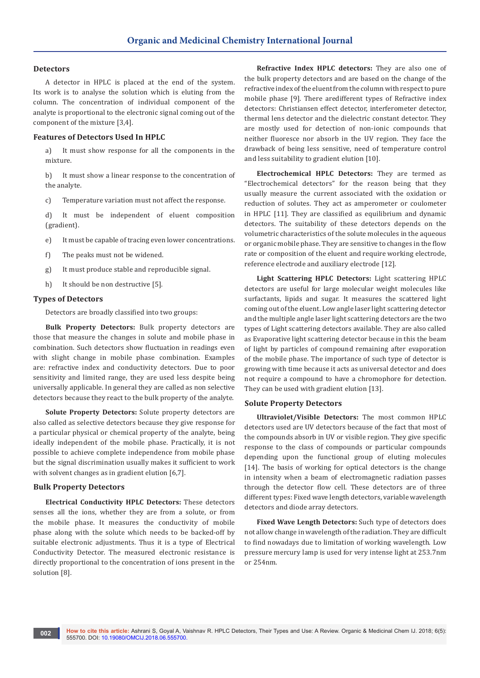## **Detectors**

A detector in HPLC is placed at the end of the system. Its work is to analyse the solution which is eluting from the column. The concentration of individual component of the analyte is proportional to the electronic signal coming out of the component of the mixture [3,4].

### **Features of Detectors Used In HPLC**

a) It must show response for all the components in the mixture.

b) It must show a linear response to the concentration of the analyte.

c) Temperature variation must not affect the response.

d) It must be independent of eluent composition (gradient).

- e) It must be capable of tracing even lower concentrations.
- f) The peaks must not be widened.
- g) It must produce stable and reproducible signal.
- h) It should be non destructive [5].

#### **Types of Detectors**

Detectors are broadly classified into two groups:

**Bulk Property Detectors:** Bulk property detectors are those that measure the changes in solute and mobile phase in combination. Such detectors show fluctuation in readings even with slight change in mobile phase combination. Examples are: refractive index and conductivity detectors. Due to poor sensitivity and limited range, they are used less despite being universally applicable. In general they are called as non selective detectors because they react to the bulk property of the analyte.

**Solute Property Detectors:** Solute property detectors are also called as selective detectors because they give response for a particular physical or chemical property of the analyte, being ideally independent of the mobile phase. Practically, it is not possible to achieve complete independence from mobile phase but the signal discrimination usually makes it sufficient to work with solvent changes as in gradient elution [6,7].

#### **Bulk Property Detectors**

**Electrical Conductivity HPLC Detectors:** These detectors senses all the ions, whether they are from a solute, or from the mobile phase. It measures the conductivity of mobile phase along with the solute which needs to be backed-off by suitable electronic adjustments. Thus it is a type of Electrical Conductivity Detector. The measured electronic resistance is directly proportional to the concentration of ions present in the solution [8].

**Refractive Index HPLC detectors:** They are also one of the bulk property detectors and are based on the change of the refractive index of the eluent from the column with respect to pure mobile phase [9]. There aredifferent types of Refractive index detectors: Christiansen effect detector, interferometer detector, thermal lens detector and the dielectric constant detector. They are mostly used for detection of non-ionic compounds that neither fluoresce nor absorb in the UV region. They face the drawback of being less sensitive, need of temperature control and less suitability to gradient elution [10].

**Electrochemical HPLC Detectors:** They are termed as "Electrochemical detectors" for the reason being that they usually measure the current associated with the oxidation or reduction of solutes. They act as amperometer or coulometer in HPLC [11]. They are classified as equilibrium and dynamic detectors. The suitability of these detectors depends on the volumetric characteristics of the solute molecules in the aqueous or organic mobile phase. They are sensitive to changes in the flow rate or composition of the eluent and require working electrode, reference electrode and auxiliary electrode [12].

**Light Scattering HPLC Detectors:** Light scattering HPLC detectors are useful for large molecular weight molecules like surfactants, lipids and sugar. It measures the scattered light coming out of the eluent. Low angle laser light scattering detector and the multiple angle laser light scattering detectors are the two types of Light scattering detectors available. They are also called as Evaporative light scattering detector because in this the beam of light by particles of compound remaining after evaporation of the mobile phase. The importance of such type of detector is growing with time because it acts as universal detector and does not require a compound to have a chromophore for detection. They can be used with gradient elution [13].

#### **Solute Property Detectors**

**Ultraviolet/Visible Detectors:** The most common HPLC detectors used are UV detectors because of the fact that most of the compounds absorb in UV or visible region. They give specific response to the class of compounds or particular compounds depending upon the functional group of eluting molecules [14]. The basis of working for optical detectors is the change in intensity when a beam of electromagnetic radiation passes through the detector flow cell. These detectors are of three different types: Fixed wave length detectors, variable wavelength detectors and diode array detectors.

**Fixed Wave Length Detectors:** Such type of detectors does not allow change in wavelength of the radiation. They are difficult to find nowadays due to limitation of working wavelength. Low pressure mercury lamp is used for very intense light at 253.7nm or 254nm.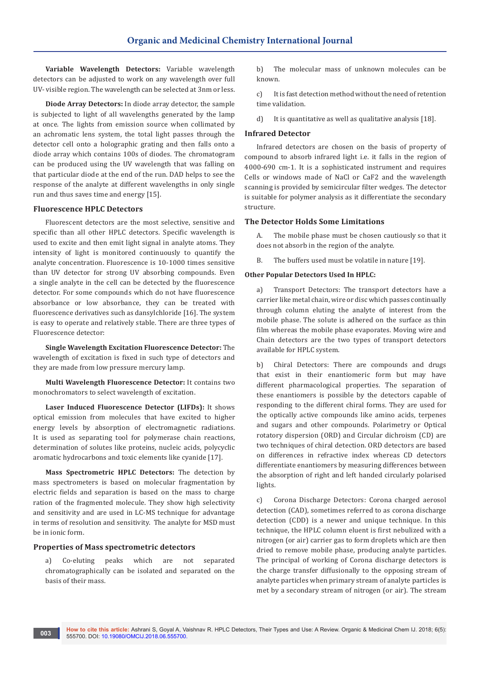**Variable Wavelength Detectors:** Variable wavelength detectors can be adjusted to work on any wavelength over full UV- visible region. The wavelength can be selected at 3nm or less.

**Diode Array Detectors:** In diode array detector, the sample is subjected to light of all wavelengths generated by the lamp at once. The lights from emission source when collimated by an achromatic lens system, the total light passes through the detector cell onto a holographic grating and then falls onto a diode array which contains 100s of diodes. The chromatogram can be produced using the UV wavelength that was falling on that particular diode at the end of the run. DAD helps to see the response of the analyte at different wavelengths in only single run and thus saves time and energy [15].

#### **Fluorescence HPLC Detectors**

Fluorescent detectors are the most selective, sensitive and specific than all other HPLC detectors. Specific wavelength is used to excite and then emit light signal in analyte atoms. They intensity of light is monitored continuously to quantify the analyte concentration. Fluorescence is 10-1000 times sensitive than UV detector for strong UV absorbing compounds. Even a single analyte in the cell can be detected by the fluorescence detector. For some compounds which do not have fluorescence absorbance or low absorbance, they can be treated with fluorescence derivatives such as dansylchloride [16]. The system is easy to operate and relatively stable. There are three types of Fluorescence detector:

**Single Wavelength Excitation Fluorescence Detector:** The wavelength of excitation is fixed in such type of detectors and they are made from low pressure mercury lamp.

**Multi Wavelength Fluorescence Detector:** It contains two monochromators to select wavelength of excitation.

**Laser Induced Fluorescence Detector (LIFDs):** It shows optical emission from molecules that have excited to higher energy levels by absorption of electromagnetic radiations. It is used as separating tool for polymerase chain reactions, determination of solutes like proteins, nucleic acids, polycyclic aromatic hydrocarbons and toxic elements like cyanide [17].

**Mass Spectrometric HPLC Detectors:** The detection by mass spectrometers is based on molecular fragmentation by electric fields and separation is based on the mass to charge ration of the fragmented molecule. They show high selectivity and sensitivity and are used in LC-MS technique for advantage in terms of resolution and sensitivity. The analyte for MSD must be in ionic form.

## **Properties of Mass spectrometric detectors**

a) Co-eluting peaks which are not separated chromatographically can be isolated and separated on the basis of their mass.

b) The molecular mass of unknown molecules can be known.

c) It is fast detection method without the need of retention time validation.

d) It is quantitative as well as qualitative analysis [18].

# **Infrared Detector**

Infrared detectors are chosen on the basis of property of compound to absorb infrared light i.e. it falls in the region of 4000-690 cm-1. It is a sophisticated instrument and requires Cells or windows made of NaCl or CaF2 and the wavelength scanning is provided by semicircular filter wedges. The detector is suitable for polymer analysis as it differentiate the secondary structure.

## **The Detector Holds Some Limitations**

A. The mobile phase must be chosen cautiously so that it does not absorb in the region of the analyte.

B. The buffers used must be volatile in nature [19].

#### **Other Popular Detectors Used In HPLC:**

a) Transport Detectors: The transport detectors have a carrier like metal chain, wire or disc which passes continually through column eluting the analyte of interest from the mobile phase. The solute is adhered on the surface as thin film whereas the mobile phase evaporates. Moving wire and Chain detectors are the two types of transport detectors available for HPLC system.

b) Chiral Detectors: There are compounds and drugs that exist in their enantiomeric form but may have different pharmacological properties. The separation of these enantiomers is possible by the detectors capable of responding to the different chiral forms. They are used for the optically active compounds like amino acids, terpenes and sugars and other compounds. Polarimetry or Optical rotatory dispersion (ORD) and Circular dichroism (CD) are two techniques of chiral detection. ORD detectors are based on differences in refractive index whereas CD detectors differentiate enantiomers by measuring differences between the absorption of right and left handed circularly polarised lights.

c) Corona Discharge Detectors: Corona charged aerosol detection (CAD), sometimes referred to as corona discharge detection (CDD) is a newer and unique technique. In this technique, the HPLC column eluent is first nebulized with a nitrogen (or air) carrier gas to form droplets which are then dried to remove mobile phase, producing analyte particles. The principal of working of Corona discharge detectors is the charge transfer diffusionally to the opposing stream of analyte particles when primary stream of analyte particles is met by a secondary stream of nitrogen (or air). The stream